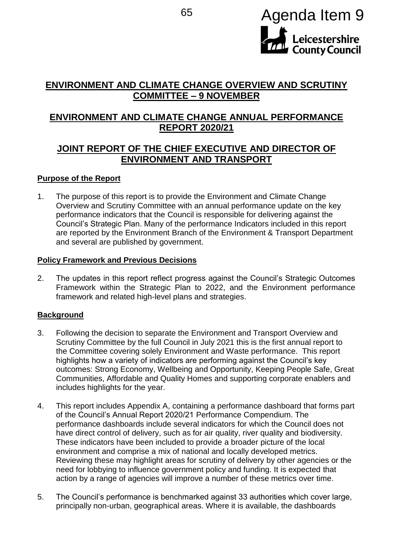

# **ENVIRONMENT AND CLIMATE CHANGE OVERVIEW AND SCRUTINY COMMITTEE – 9 NOVEMBER**

# **ENVIRONMENT AND CLIMATE CHANGE ANNUAL PERFORMANCE REPORT 2020/21**

## **JOINT REPORT OF THE CHIEF EXECUTIVE AND DIRECTOR OF ENVIRONMENT AND TRANSPORT**

#### **Purpose of the Report**

1. The purpose of this report is to provide the Environment and Climate Change Overview and Scrutiny Committee with an annual performance update on the key performance indicators that the Council is responsible for delivering against the Council's Strategic Plan. Many of the performance Indicators included in this report are reported by the Environment Branch of the Environment & Transport Department and several are published by government.

#### **Policy Framework and Previous Decisions**

2. The updates in this report reflect progress against the Council's Strategic Outcomes Framework within the Strategic Plan to 2022, and the Environment performance framework and related high-level plans and strategies.

## **Background**

- 3. Following the decision to separate the Environment and Transport Overview and Scrutiny Committee by the full Council in July 2021 this is the first annual report to the Committee covering solely Environment and Waste performance. This report highlights how a variety of indicators are performing against the Council's key outcomes: Strong Economy, Wellbeing and Opportunity, Keeping People Safe, Great Communities, Affordable and Quality Homes and supporting corporate enablers and includes highlights for the year.
- 4. This report includes Appendix A, containing a performance dashboard that forms part of the Council's Annual Report 2020/21 Performance Compendium. The performance dashboards include several indicators for which the Council does not have direct control of delivery, such as for air quality, river quality and biodiversity. These indicators have been included to provide a broader picture of the local environment and comprise a mix of national and locally developed metrics. Reviewing these may highlight areas for scrutiny of delivery by other agencies or the need for lobbying to influence government policy and funding. It is expected that action by a range of agencies will improve a number of these metrics over time.
- 5. The Council's performance is benchmarked against 33 authorities which cover large, principally non-urban, geographical areas. Where it is available, the dashboards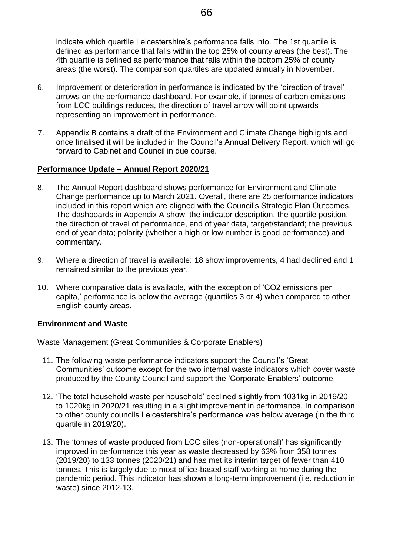indicate which quartile Leicestershire's performance falls into. The 1st quartile is defined as performance that falls within the top 25% of county areas (the best). The 4th quartile is defined as performance that falls within the bottom 25% of county areas (the worst). The comparison quartiles are updated annually in November.

- 6. Improvement or deterioration in performance is indicated by the 'direction of travel' arrows on the performance dashboard. For example, if tonnes of carbon emissions from LCC buildings reduces, the direction of travel arrow will point upwards representing an improvement in performance.
- 7. Appendix B contains a draft of the Environment and Climate Change highlights and once finalised it will be included in the Council's Annual Delivery Report, which will go forward to Cabinet and Council in due course.

## **Performance Update – Annual Report 2020/21**

- 8. The Annual Report dashboard shows performance for Environment and Climate Change performance up to March 2021. Overall, there are 25 performance indicators included in this report which are aligned with the Council's Strategic Plan Outcomes. The dashboards in Appendix A show: the indicator description, the quartile position, the direction of travel of performance, end of year data, target/standard; the previous end of year data; polarity (whether a high or low number is good performance) and commentary.
- 9. Where a direction of travel is available: 18 show improvements, 4 had declined and 1 remained similar to the previous year.
- 10. Where comparative data is available, with the exception of 'CO2 emissions per capita,' performance is below the average (quartiles 3 or 4) when compared to other English county areas.

## **Environment and Waste**

#### Waste Management (Great Communities & Corporate Enablers)

- 11. The following waste performance indicators support the Council's 'Great Communities' outcome except for the two internal waste indicators which cover waste produced by the County Council and support the 'Corporate Enablers' outcome.
- 12. 'The total household waste per household' declined slightly from 1031kg in 2019/20 to 1020kg in 2020/21 resulting in a slight improvement in performance. In comparison to other county councils Leicestershire's performance was below average (in the third quartile in 2019/20).
- 13. The 'tonnes of waste produced from LCC sites (non-operational)' has significantly improved in performance this year as waste decreased by 63% from 358 tonnes (2019/20) to 133 tonnes (2020/21) and has met its interim target of fewer than 410 tonnes. This is largely due to most office-based staff working at home during the pandemic period. This indicator has shown a long-term improvement (i.e. reduction in waste) since 2012-13.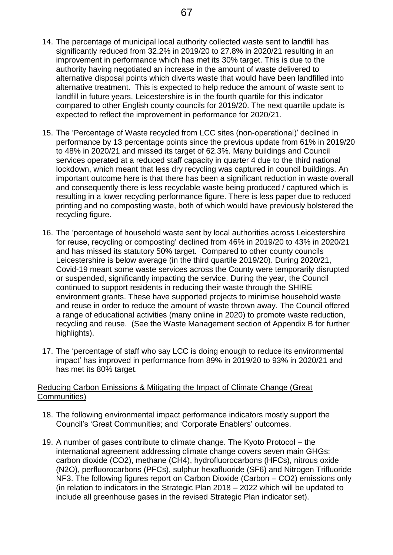- 14. The percentage of municipal local authority collected waste sent to landfill has significantly reduced from 32.2% in 2019/20 to 27.8% in 2020/21 resulting in an improvement in performance which has met its 30% target. This is due to the authority having negotiated an increase in the amount of waste delivered to alternative disposal points which diverts waste that would have been landfilled into alternative treatment. This is expected to help reduce the amount of waste sent to landfill in future years. Leicestershire is in the fourth quartile for this indicator compared to other English county councils for 2019/20. The next quartile update is expected to reflect the improvement in performance for 2020/21.
- 15. The 'Percentage of Waste recycled from LCC sites (non-operational)' declined in performance by 13 percentage points since the previous update from 61% in 2019/20 to 48% in 2020/21 and missed its target of 62.3%. Many buildings and Council services operated at a reduced staff capacity in quarter 4 due to the third national lockdown, which meant that less dry recycling was captured in council buildings. An important outcome here is that there has been a significant reduction in waste overall and consequently there is less recyclable waste being produced / captured which is resulting in a lower recycling performance figure. There is less paper due to reduced printing and no composting waste, both of which would have previously bolstered the recycling figure.
- 16. The 'percentage of household waste sent by local authorities across Leicestershire for reuse, recycling or composting' declined from 46% in 2019/20 to 43% in 2020/21 and has missed its statutory 50% target. Compared to other county councils Leicestershire is below average (in the third quartile 2019/20). During 2020/21, Covid-19 meant some waste services across the County were temporarily disrupted or suspended, significantly impacting the service. During the year, the Council continued to support residents in reducing their waste through the SHIRE environment grants. These have supported projects to minimise household waste and reuse in order to reduce the amount of waste thrown away. The Council offered a range of educational activities (many online in 2020) to promote waste reduction, recycling and reuse. (See the Waste Management section of Appendix B for further highlights).
- 17. The 'percentage of staff who say LCC is doing enough to reduce its environmental impact' has improved in performance from 89% in 2019/20 to 93% in 2020/21 and has met its 80% target.

#### Reducing Carbon Emissions & Mitigating the Impact of Climate Change (Great Communities)

- 18. The following environmental impact performance indicators mostly support the Council's 'Great Communities; and 'Corporate Enablers' outcomes.
- 19. A number of gases contribute to climate change. The Kyoto Protocol the international agreement addressing climate change covers seven main GHGs: carbon dioxide (CO2), methane (CH4), hydrofluorocarbons (HFCs), nitrous oxide (N2O), perfluorocarbons (PFCs), sulphur hexafluoride (SF6) and Nitrogen Trifluoride NF3. The following figures report on Carbon Dioxide (Carbon – CO2) emissions only (in relation to indicators in the Strategic Plan 2018 – 2022 which will be updated to include all greenhouse gases in the revised Strategic Plan indicator set).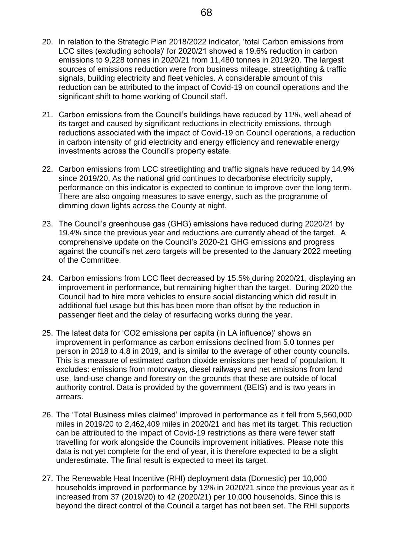- 20. In relation to the Strategic Plan 2018/2022 indicator, 'total Carbon emissions from LCC sites (excluding schools)' for 2020/21 showed a 19.6% reduction in carbon emissions to 9,228 tonnes in 2020/21 from 11,480 tonnes in 2019/20. The largest sources of emissions reduction were from business mileage, streetlighting & traffic signals, building electricity and fleet vehicles. A considerable amount of this reduction can be attributed to the impact of Covid-19 on council operations and the significant shift to home working of Council staff.
- 21. Carbon emissions from the Council's buildings have reduced by 11%, well ahead of its target and caused by significant reductions in electricity emissions, through reductions associated with the impact of Covid-19 on Council operations, a reduction in carbon intensity of grid electricity and energy efficiency and renewable energy investments across the Council's property estate.
- 22. Carbon emissions from LCC streetlighting and traffic signals have reduced by 14.9% since 2019/20. As the national grid continues to decarbonise electricity supply, performance on this indicator is expected to continue to improve over the long term. There are also ongoing measures to save energy, such as the programme of dimming down lights across the County at night.
- 23. The Council's greenhouse gas (GHG) emissions have reduced during 2020/21 by 19.4% since the previous year and reductions are currently ahead of the target. A comprehensive update on the Council's 2020-21 GHG emissions and progress against the council's net zero targets will be presented to the January 2022 meeting of the Committee.
- 24. Carbon emissions from LCC fleet decreased by 15.5% during 2020/21, displaying an improvement in performance, but remaining higher than the target. During 2020 the Council had to hire more vehicles to ensure social distancing which did result in additional fuel usage but this has been more than offset by the reduction in passenger fleet and the delay of resurfacing works during the year.
- 25. The latest data for 'CO2 emissions per capita (in LA influence)' shows an improvement in performance as carbon emissions declined from 5.0 tonnes per person in 2018 to 4.8 in 2019, and is similar to the average of other county councils. This is a measure of estimated carbon dioxide emissions per head of population. It excludes: emissions from motorways, diesel railways and net emissions from land use, land-use change and forestry on the grounds that these are outside of local authority control. Data is provided by the government (BEIS) and is two years in arrears.
- 26. The 'Total Business miles claimed' improved in performance as it fell from 5,560,000 miles in 2019/20 to 2,462,409 miles in 2020/21 and has met its target. This reduction can be attributed to the impact of Covid-19 restrictions as there were fewer staff travelling for work alongside the Councils improvement initiatives. Please note this data is not yet complete for the end of year, it is therefore expected to be a slight underestimate. The final result is expected to meet its target.
- 27. The Renewable Heat Incentive (RHI) deployment data (Domestic) per 10,000 households improved in performance by 13% in 2020/21 since the previous year as it increased from 37 (2019/20) to 42 (2020/21) per 10,000 households. Since this is beyond the direct control of the Council a target has not been set. The RHI supports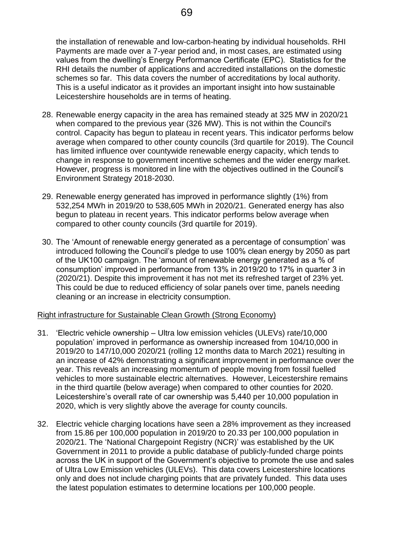the installation of renewable and low-carbon-heating by individual households. RHI Payments are made over a 7-year period and, in most cases, are estimated using values from the dwelling's Energy Performance Certificate (EPC). Statistics for the RHI details the number of applications and accredited installations on the domestic schemes so far. This data covers the number of accreditations by local authority. This is a useful indicator as it provides an important insight into how sustainable Leicestershire households are in terms of heating.

- 28. Renewable energy capacity in the area has remained steady at 325 MW in 2020/21 when compared to the previous year (326 MW). This is not within the Council's control. Capacity has begun to plateau in recent years. This indicator performs below average when compared to other county councils (3rd quartile for 2019). The Council has limited influence over countywide renewable energy capacity, which tends to change in response to government incentive schemes and the wider energy market. However, progress is monitored in line with the objectives outlined in the Council's Environment Strategy 2018-2030.
- 29. Renewable energy generated has improved in performance slightly (1%) from 532,254 MWh in 2019/20 to 538,605 MWh in 2020/21. Generated energy has also begun to plateau in recent years. This indicator performs below average when compared to other county councils (3rd quartile for 2019).
- 30. The 'Amount of renewable energy generated as a percentage of consumption' was introduced following the Council's pledge to use 100% clean energy by 2050 as part of the UK100 campaign. The 'amount of renewable energy generated as a % of consumption' improved in performance from 13% in 2019/20 to 17% in quarter 3 in (2020/21). Despite this improvement it has not met its refreshed target of 23% yet. This could be due to reduced efficiency of solar panels over time, panels needing cleaning or an increase in electricity consumption.

## Right infrastructure for Sustainable Clean Growth (Strong Economy)

- 31. 'Electric vehicle ownership Ultra low emission vehicles (ULEVs) rate/10,000 population' improved in performance as ownership increased from 104/10,000 in 2019/20 to 147/10,000 2020/21 (rolling 12 months data to March 2021) resulting in an increase of 42% demonstrating a significant improvement in performance over the year. This reveals an increasing momentum of people moving from fossil fuelled vehicles to more sustainable electric alternatives. However, Leicestershire remains in the third quartile (below average) when compared to other counties for 2020. Leicestershire's overall rate of car ownership was 5,440 per 10,000 population in 2020, which is very slightly above the average for county councils.
- 32. Electric vehicle charging locations have seen a 28% improvement as they increased from 15.86 per 100,000 population in 2019/20 to 20.33 per 100,000 population in 2020/21. The 'National Chargepoint Registry (NCR)' was established by the UK Government in 2011 to provide a public database of publicly-funded charge points across the UK in support of the Government's objective to promote the use and sales of Ultra Low Emission vehicles (ULEVs). This data covers Leicestershire locations only and does not include charging points that are privately funded. This data uses the latest population estimates to determine locations per 100,000 people.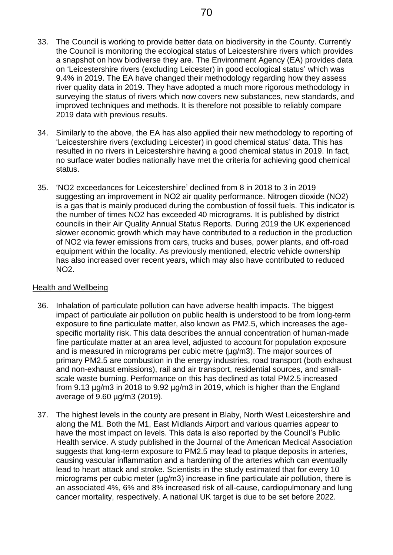- 33. The Council is working to provide better data on biodiversity in the County. Currently the Council is monitoring the ecological status of Leicestershire rivers which provides a snapshot on how biodiverse they are. The Environment Agency (EA) provides data on 'Leicestershire rivers (excluding Leicester) in good ecological status' which was 9.4% in 2019. The EA have changed their methodology regarding how they assess river quality data in 2019. They have adopted a much more rigorous methodology in surveying the status of rivers which now covers new substances, new standards, and improved techniques and methods. It is therefore not possible to reliably compare 2019 data with previous results.
- 34. Similarly to the above, the EA has also applied their new methodology to reporting of 'Leicestershire rivers (excluding Leicester) in good chemical status' data. This has resulted in no rivers in Leicestershire having a good chemical status in 2019. In fact, no surface water bodies nationally have met the criteria for achieving good chemical status.
- 35. 'NO2 exceedances for Leicestershire' declined from 8 in 2018 to 3 in 2019 suggesting an improvement in NO2 air quality performance. Nitrogen dioxide (NO2) is a gas that is mainly produced during the combustion of fossil fuels. This indicator is the number of times NO2 has exceeded 40 micrograms. It is published by district councils in their Air Quality Annual Status Reports. During 2019 the UK experienced slower economic growth which may have contributed to a reduction in the production of NO2 via fewer emissions from cars, trucks and buses, power plants, and off-road equipment within the locality. As previously mentioned, electric vehicle ownership has also increased over recent years, which may also have contributed to reduced NO2.

#### Health and Wellbeing

- 36. Inhalation of particulate pollution can have adverse health impacts. The biggest impact of particulate air pollution on public health is understood to be from long-term exposure to fine particulate matter, also known as PM2.5, which increases the agespecific mortality risk. This data describes the annual concentration of human-made fine particulate matter at an area level, adjusted to account for population exposure and is measured in micrograms per cubic metre (µg/m3). The major sources of primary PM2.5 are combustion in the energy industries, road transport (both exhaust and non-exhaust emissions), rail and air transport, residential sources, and smallscale waste burning. Performance on this has declined as total PM2.5 increased from 9.13 µg/m3 in 2018 to 9.92 µg/m3 in 2019, which is higher than the England average of 9.60 µg/m3 (2019).
- 37. The highest levels in the county are present in Blaby, North West Leicestershire and along the M1. Both the M1, East Midlands Airport and various quarries appear to have the most impact on levels. This data is also reported by the Council's Public Health service. A study published in the Journal of the American Medical Association suggests that long-term exposure to PM2.5 may lead to plaque deposits in arteries, causing vascular inflammation and a hardening of the arteries which can eventually lead to heart attack and stroke. Scientists in the study estimated that for every 10 micrograms per cubic meter (μg/m3) increase in fine particulate air pollution, there is an associated 4%, 6% and 8% increased risk of all-cause, cardiopulmonary and lung cancer mortality, respectively. A national UK target is due to be set before 2022.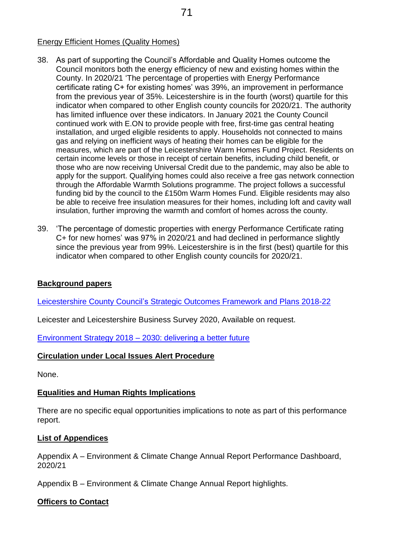## Energy Efficient Homes (Quality Homes)

- 38. As part of supporting the Council's Affordable and Quality Homes outcome the Council monitors both the energy efficiency of new and existing homes within the County. In 2020/21 'The percentage of properties with Energy Performance certificate rating C+ for existing homes' was 39%, an improvement in performance from the previous year of 35%. Leicestershire is in the fourth (worst) quartile for this indicator when compared to other English county councils for 2020/21. The authority has limited influence over these indicators. In January 2021 the County Council continued work with E.ON to provide people with free, first-time gas central heating installation, and urged eligible residents to apply. Households not connected to mains gas and relying on inefficient ways of heating their homes can be eligible for the measures, which are part of the Leicestershire Warm Homes Fund Project. Residents on certain income levels or those in receipt of certain benefits, including child benefit, or those who are now receiving Universal Credit due to the pandemic, may also be able to apply for the support. Qualifying homes could also receive a free gas network connection through the Affordable Warmth Solutions programme. The project follows a successful funding bid by the council to the £150m Warm Homes Fund. Eligible residents may also be able to receive free insulation measures for their homes, including loft and cavity wall insulation, further improving the warmth and comfort of homes across the county.
- 39. 'The percentage of domestic properties with energy Performance Certificate rating C+ for new homes' was 97% in 2020/21 and had declined in performance slightly since the previous year from 99%. Leicestershire is in the first (best) quartile for this indicator when compared to other English county councils for 2020/21.

## **Background papers**

Leicestershire County Council's [Strategic Outcomes Framework and Plans](https://www.leicestershire.gov.uk/about-the-council/council-plans/the-strategic-plan) 2018-22

Leicester and Leicestershire Business Survey 2020, Available on request.

Environment Strategy 2018 – [2030: delivering a better future](https://www.leicestershire.gov.uk/sites/default/files/field/pdf/2020/7/13/Environment-Strategy-2018-2030-delivering-a-better-future.pdf)

#### **Circulation under Local Issues Alert Procedure**

None.

#### **Equalities and Human Rights Implications**

There are no specific equal opportunities implications to note as part of this performance report.

#### **List of Appendices**

Appendix A – Environment & Climate Change Annual Report Performance Dashboard, 2020/21

Appendix B – Environment & Climate Change Annual Report highlights.

#### **Officers to Contact**